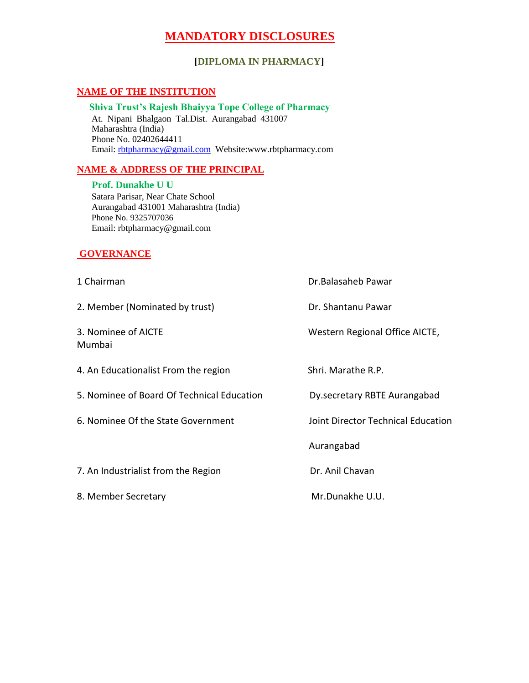# **MANDATORY DISCLOSURES**

## **[DIPLOMA IN PHARMACY]**

## **NAME OF THE INSTITUTION**

#### **Shiva Trust's Rajesh Bhaiyya Tope College of Pharmacy** At. Nipani Bhalgaon Tal.Dist. Aurangabad 431007 Maharashtra (India)

Phone No. 02402644411 Email: [rbtpharmacy@gmail.com](mailto:rbtpharmacy@gmail.com) Website:www.rbtpharmacy.com

#### **NAME & ADDRESS OF THE PRINCIPAL**

 **Prof. Dunakhe U U**  Satara Parisar, Near Chate School Aurangabad 431001 Maharashtra (India) Phone No. 9325707036 Email: rbtpharmacy@gmail.com

#### **GOVERNANCE**

1 Chairman **Dr.Balasaheb Pawar** 2. Member (Nominated by trust) Dr. Shantanu Pawar 3. Nominee of AICTE **Western Regional Office AICTE**, Mumbai 4. An Educationalist From the region Shri. Marathe R.P. 5. Nominee of Board Of Technical Education Dy.secretary RBTE Aurangabad 6. Nominee Of the State Government Joint Director Technical Education Aurangabad 7. An Industrialist from the Region Dr. Anil Chavan 8. Member Secretary Mr.Dunakhe U.U.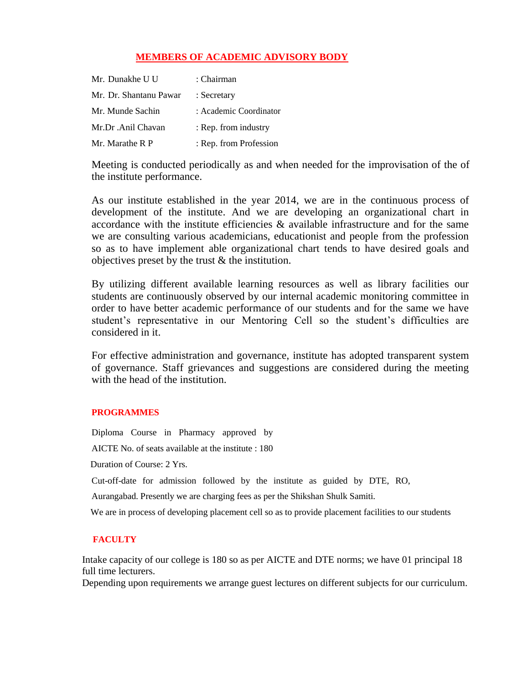## **MEMBERS OF ACADEMIC ADVISORY BODY**

| Mr. Dunakhe U U        | : Chairman             |
|------------------------|------------------------|
| Mr. Dr. Shantanu Pawar | : Secretary            |
| Mr. Munde Sachin       | : Academic Coordinator |
| Mr.Dr.Anil Chavan      | : Rep. from industry   |
| Mr. Marathe R P        | : Rep. from Profession |

Meeting is conducted periodically as and when needed for the improvisation of the of the institute performance.

As our institute established in the year 2014, we are in the continuous process of development of the institute. And we are developing an organizational chart in accordance with the institute efficiencies & available infrastructure and for the same we are consulting various academicians, educationist and people from the profession so as to have implement able organizational chart tends to have desired goals and objectives preset by the trust & the institution.

By utilizing different available learning resources as well as library facilities our students are continuously observed by our internal academic monitoring committee in order to have better academic performance of our students and for the same we have student's representative in our Mentoring Cell so the student's difficulties are considered in it.

For effective administration and governance, institute has adopted transparent system of governance. Staff grievances and suggestions are considered during the meeting with the head of the institution.

#### **PROGRAMMES**

Diploma Course in Pharmacy approved by AICTE No. of seats available at the institute : 180 Duration of Course: 2 Yrs. Cut-off-date for admission followed by the institute as guided by DTE, RO,

Aurangabad. Presently we are charging fees as per the Shikshan Shulk Samiti.

We are in process of developing placement cell so as to provide placement facilities to our students

#### **FACULTY**

Intake capacity of our college is 180 so as per AICTE and DTE norms; we have 01 principal 18 full time lecturers.

Depending upon requirements we arrange guest lectures on different subjects for our curriculum.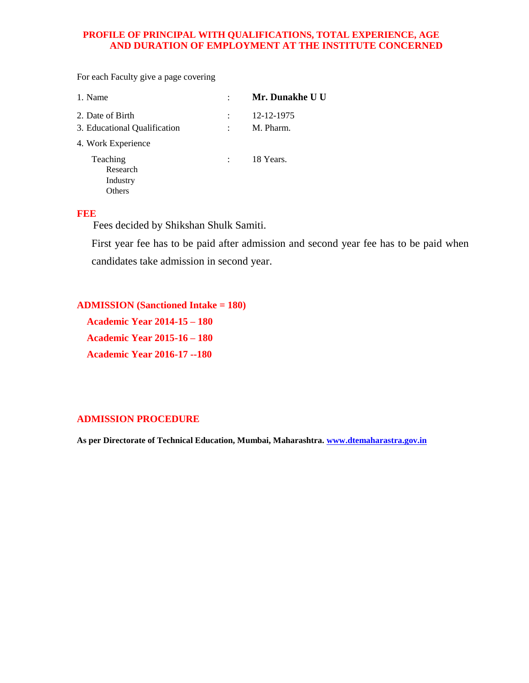#### **PROFILE OF PRINCIPAL WITH QUALIFICATIONS, TOTAL EXPERIENCE, AGE AND DURATION OF EMPLOYMENT AT THE INSTITUTE CONCERNED**

For each Faculty give a page covering

| Mr. Dunakhe U U |
|-----------------|
| 12-12-1975      |
| M. Pharm.       |
|                 |
| 18 Years.       |
|                 |

#### **FEE**

Fees decided by Shikshan Shulk Samiti.

First year fee has to be paid after admission and second year fee has to be paid when candidates take admission in second year.

**ADMISSION (Sanctioned Intake = 180)**

 **Academic Year 2014-15 – 180 Academic Year 2015-16 – 180 Academic Year 2016-17 --180**

#### **ADMISSION PROCEDURE**

**As per Directorate of Technical Education, Mumbai, Maharashtra. www.dtemaharastra.gov.in**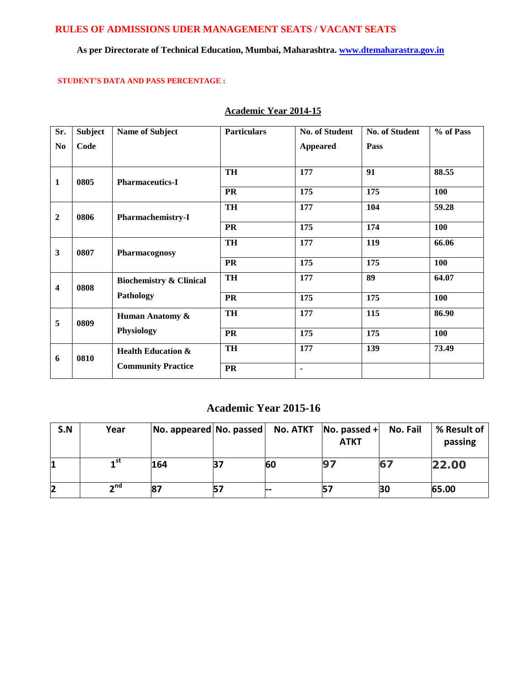## **RULES OF ADMISSIONS UDER MANAGEMENT SEATS / VACANT SEATS**

# **As per Directorate of Technical Education, Mumbai, Maharashtra. www.dtemaharastra.gov.in**

#### **STUDENT'S DATA AND PASS PERCENTAGE :**

| Sr.              | <b>Subject</b> | <b>Name of Subject</b>             | <b>Particulars</b> | <b>No. of Student</b> | <b>No. of Student</b> | % of Pass  |
|------------------|----------------|------------------------------------|--------------------|-----------------------|-----------------------|------------|
| N <sub>0</sub>   | Code           |                                    |                    | <b>Appeared</b>       | Pass                  |            |
|                  |                |                                    |                    |                       |                       |            |
| $\mathbf{1}$     | 0805           | <b>Pharmaceutics-I</b>             | <b>TH</b>          | 177                   | 91                    | 88.55      |
|                  |                |                                    | PR                 | 175                   | 175                   | 100        |
| $\boldsymbol{2}$ | 0806           | <b>Pharmachemistry-I</b>           | <b>TH</b>          | 177                   | 104                   | 59.28      |
|                  |                |                                    | <b>PR</b>          | 175                   | 174                   | 100        |
| $\mathbf{3}$     | 0807           | Pharmacognosy                      | <b>TH</b>          | 177                   | 119                   | 66.06      |
|                  |                |                                    | <b>PR</b>          | 175                   | 175                   | <b>100</b> |
| 4                | 0808           | <b>Biochemistry &amp; Clinical</b> | TH                 | 177                   | 89                    | 64.07      |
|                  |                | Pathology                          | <b>PR</b>          | 175                   | 175                   | 100        |
| 5                | 0809           | Human Anatomy &                    | TH                 | 177                   | 115                   | 86.90      |
|                  |                | Physiology                         | <b>PR</b>          | 175                   | 175                   | 100        |
| 6                | 0810           | <b>Health Education &amp;</b>      | TH                 | 177                   | 139                   | 73.49      |
|                  |                | <b>Community Practice</b>          | <b>PR</b>          | $\blacksquare$        |                       |            |

### **Academic Year 2014-15**

# **Academic Year 2015-16**

| S.N | Year            | $ No.$ appeared $ No.$ passed $ $ | No. ATKT | No. passed $+$<br><b>ATKT</b> | No. Fail | % Result of<br>passing |
|-----|-----------------|-----------------------------------|----------|-------------------------------|----------|------------------------|
|     | 1 <sup>st</sup> | 164                               | 60       |                               |          | 22.00                  |
| 2   | $\sim$ nd       | 87                                | دما      |                               | BС       | 65.00                  |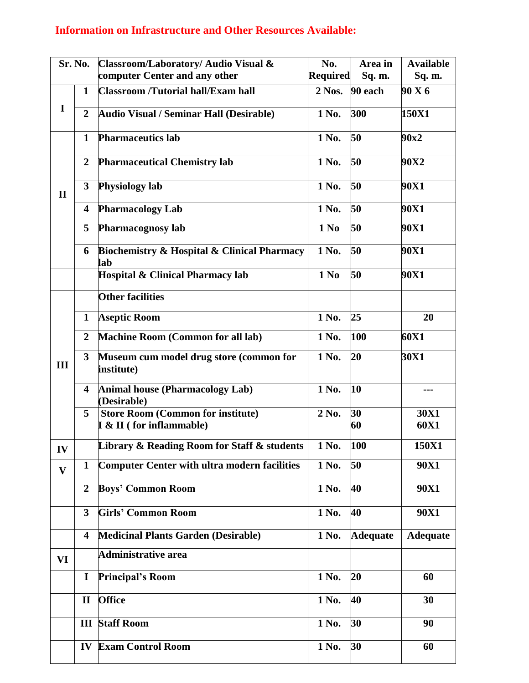# **Information on Infrastructure and Other Resources Available:**

|              | Sr. No.                 | Classroom/Laboratory/ Audio Visual &                                  | No.             | Area in         | <b>Available</b> |
|--------------|-------------------------|-----------------------------------------------------------------------|-----------------|-----------------|------------------|
|              |                         | computer Center and any other                                         | <b>Required</b> | Sq. m.          | Sq. m.           |
|              | $\mathbf{1}$            | <b>Classroom /Tutorial hall/Exam hall</b>                             | 2 Nos.          | 90 each         | 90 X 6           |
| I            |                         |                                                                       |                 |                 |                  |
|              | $\overline{2}$          | <b>Audio Visual / Seminar Hall (Desirable)</b>                        | 1 No.           | 300             | 150X1            |
|              | $\mathbf{1}$            | <b>Pharmaceutics lab</b>                                              | 1 No.           | 50              | 90x2             |
|              | $\overline{2}$          | <b>Pharmaceutical Chemistry lab</b>                                   | 1 No.           | 50              | 90X2             |
| $\mathbf{I}$ | $\overline{\mathbf{3}}$ | Physiology lab                                                        | 1 No.           | 50              | 90X1             |
|              | 4                       | <b>Pharmacology Lab</b>                                               | 1 No.           | 50              | 90X1             |
|              | 5                       | Pharmacognosy lab                                                     | 1 No            | 50              | 90X1             |
|              | 6                       | <b>Biochemistry &amp; Hospital &amp; Clinical Pharmacy</b><br>lab     | 1 No.           | 50              | 90X1             |
|              |                         | Hospital & Clinical Pharmacy lab                                      | 1 No            | 50              | 90X1             |
|              |                         | <b>Other facilities</b>                                               |                 |                 |                  |
|              | $\mathbf{1}$            | <b>Aseptic Room</b>                                                   | 1 No.           | 25              | 20               |
|              | $\overline{2}$          | <b>Machine Room (Common for all lab)</b>                              | 1 No.           | 100             | 60X1             |
| III          | 3 <sup>1</sup>          | Museum cum model drug store (common for<br>institute)                 | 1 No.           | 20              | 30X1             |
|              | 4                       | <b>Animal house (Pharmacology Lab)</b><br>(Desirable)                 | 1 No.           | 10              | ---              |
|              | 5                       | <b>Store Room (Common for institute)</b><br>$I & I$ (for inflammable) | 2 No.           | 30<br>60        | 30X1<br>60X1     |
| IV           |                         | Library & Reading Room for Staff & students                           | 1 No.           | 100             | 150X1            |
| $\mathbf{V}$ | $\mathbf{1}$            | <b>Computer Center with ultra modern facilities</b>                   | 1 No.           | 50              | <b>90X1</b>      |
|              | $\overline{2}$          | <b>Boys' Common Room</b>                                              | 1 No.           | 40              | <b>90X1</b>      |
|              | $\overline{\mathbf{3}}$ | <b>Girls' Common Room</b>                                             | 1 No.           | 40              | <b>90X1</b>      |
|              | $\overline{\mathbf{4}}$ | <b>Medicinal Plants Garden (Desirable)</b>                            | 1 No.           | <b>Adequate</b> | <b>Adequate</b>  |
| VI           |                         | Administrative area                                                   |                 |                 |                  |
|              | $\mathbf I$             | <b>Principal's Room</b>                                               | 1 No.           | 20              | 60               |
|              | $\mathbf{I}$            | <b>Office</b>                                                         | 1 No.           | 40              | 30               |
|              |                         | <b>III</b> Staff Room                                                 | 1 No.           | 30              | 90               |
|              |                         | <b>IV Exam Control Room</b>                                           | 1 No.           | 30              | 60               |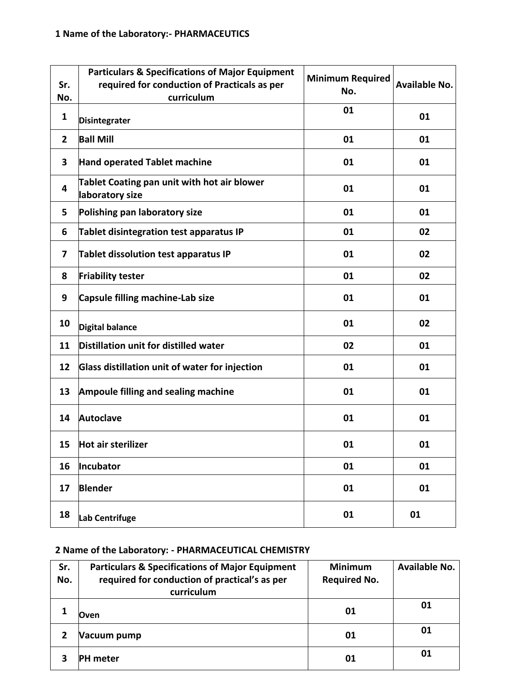| Sr.<br>No.     | <b>Particulars &amp; Specifications of Major Equipment</b><br>required for conduction of Practicals as per<br>curriculum | <b>Minimum Required</b><br>No. | <b>Available No.</b> |
|----------------|--------------------------------------------------------------------------------------------------------------------------|--------------------------------|----------------------|
| $\mathbf{1}$   | <b>Disintegrater</b>                                                                                                     | 01                             | 01                   |
| $\overline{2}$ | <b>Ball Mill</b>                                                                                                         | 01                             | 01                   |
| 3              | <b>Hand operated Tablet machine</b>                                                                                      | 01                             | 01                   |
| 4              | Tablet Coating pan unit with hot air blower<br>laboratory size                                                           | 01                             | 01                   |
| 5              | Polishing pan laboratory size                                                                                            | 01                             | 01                   |
| 6              | Tablet disintegration test apparatus IP                                                                                  | 01                             | 02                   |
| 7              | Tablet dissolution test apparatus IP                                                                                     | 01                             | 02                   |
| 8              | <b>Friability tester</b>                                                                                                 | 01                             | 02                   |
| 9              | Capsule filling machine-Lab size                                                                                         | 01                             | 01                   |
| 10             | <b>Digital balance</b>                                                                                                   | 01                             | 02                   |
| 11             | Distillation unit for distilled water                                                                                    | 02                             | 01                   |
| 12             | Glass distillation unit of water for injection                                                                           | 01                             | 01                   |
| 13             | <b>Ampoule filling and sealing machine</b>                                                                               | 01                             | 01                   |
| 14             | <b>Autoclave</b>                                                                                                         | 01                             | 01                   |
| 15             | Hot air sterilizer                                                                                                       | 01                             | 01                   |
| 16             | Incubator                                                                                                                | 01                             | 01                   |
| 17             | <b>Blender</b>                                                                                                           | 01                             | 01                   |
| 18             | Lab Centrifuge                                                                                                           | 01                             | 01                   |

# **2 Name of the Laboratory: - PHARMACEUTICAL CHEMISTRY**

| Sr. | <b>Particulars &amp; Specifications of Major Equipment</b>  | <b>Minimum</b>      | <b>Available No.</b> |
|-----|-------------------------------------------------------------|---------------------|----------------------|
| No. | required for conduction of practical's as per<br>curriculum | <b>Required No.</b> |                      |
|     | Oven                                                        | 01                  | 01                   |
| 2   | Vacuum pump                                                 | 01                  | 01                   |
|     | PH meter                                                    | 01                  | 01                   |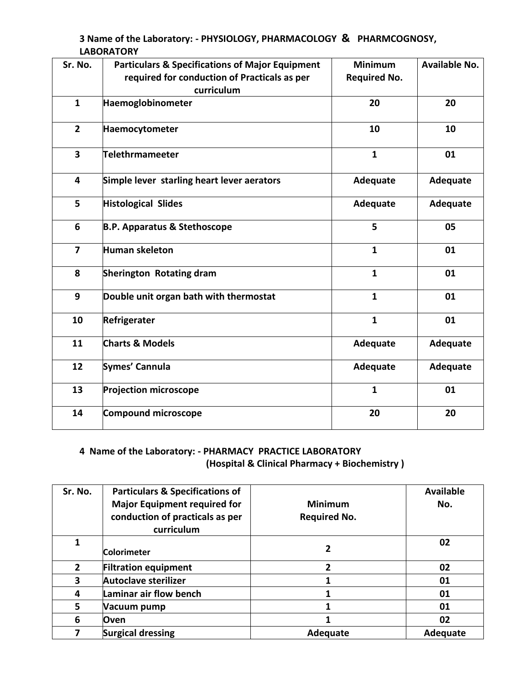**3 Name of the Laboratory: - PHYSIOLOGY, PHARMACOLOGY & PHARMCOGNOSY, LABORATORY** 

| Sr. No.                 | <b>Particulars &amp; Specifications of Major Equipment</b><br>required for conduction of Practicals as per<br>curriculum | <b>Minimum</b><br><b>Required No.</b> | <b>Available No.</b> |
|-------------------------|--------------------------------------------------------------------------------------------------------------------------|---------------------------------------|----------------------|
| $\mathbf{1}$            | Haemoglobinometer                                                                                                        | 20                                    | 20                   |
| $\overline{2}$          | Haemocytometer                                                                                                           | 10                                    | 10                   |
| $\overline{\mathbf{3}}$ | Telethrmameeter                                                                                                          | $\mathbf{1}$                          | 01                   |
| $\overline{4}$          | Simple lever starling heart lever aerators                                                                               | Adequate                              | Adequate             |
| 5                       | <b>Histological Slides</b>                                                                                               | Adequate                              | Adequate             |
| 6                       | <b>B.P. Apparatus &amp; Stethoscope</b>                                                                                  | 5                                     | 05                   |
| $\overline{7}$          | Human skeleton                                                                                                           | $\mathbf{1}$                          | 01                   |
| 8                       | Sherington Rotating dram                                                                                                 | $\mathbf{1}$                          | 01                   |
| 9                       | Double unit organ bath with thermostat                                                                                   | $\mathbf{1}$                          | 01                   |
| 10                      | Refrigerater                                                                                                             | $\mathbf{1}$                          | 01                   |
| 11                      | <b>Charts &amp; Models</b>                                                                                               | Adequate                              | Adequate             |
| 12                      | Symes' Cannula                                                                                                           | Adequate                              | Adequate             |
| 13                      | <b>Projection microscope</b>                                                                                             | $\mathbf{1}$                          | 01                   |
| 14                      | Compound microscope                                                                                                      | 20                                    | 20                   |

# **4 Name of the Laboratory: - PHARMACY PRACTICE LABORATORY (Hospital & Clinical Pharmacy + Biochemistry )**

| Sr. No.      | <b>Particulars &amp; Specifications of</b><br><b>Major Equipment required for</b><br>conduction of practicals as per<br>curriculum | <b>Minimum</b><br><b>Required No.</b> | <b>Available</b><br>No. |
|--------------|------------------------------------------------------------------------------------------------------------------------------------|---------------------------------------|-------------------------|
| 1            | <b>Colorimeter</b>                                                                                                                 | 2                                     | 02                      |
| $\mathbf{2}$ | <b>Filtration equipment</b>                                                                                                        | $\mathfrak z$                         | 02                      |
| 3            | <b>Autoclave sterilizer</b>                                                                                                        |                                       | 01                      |
| 4            | Laminar air flow bench                                                                                                             |                                       | 01                      |
| 5            | Vacuum pump                                                                                                                        |                                       | 01                      |
| 6            | Oven                                                                                                                               |                                       | 02                      |
|              | <b>Surgical dressing</b>                                                                                                           | Adequate                              | Adequate                |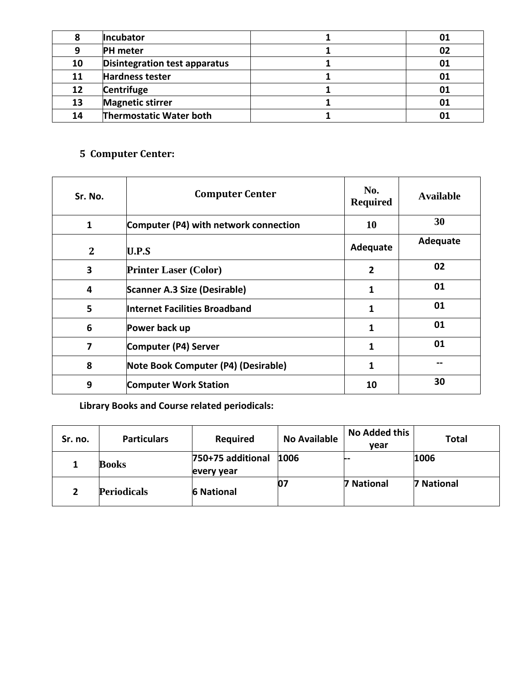| 8  | Incubator                      | 01 |
|----|--------------------------------|----|
| 9  | <b>PH</b> meter                | 02 |
| 10 | Disintegration test apparatus  | 01 |
| 11 | Hardness tester                | 01 |
| 12 | Centrifuge                     | 01 |
| 13 | <b>Magnetic stirrer</b>        | 01 |
| 14 | <b>Thermostatic Water both</b> |    |

# **5 Computer Center:**

| Sr. No.      | <b>Computer Center</b>                | No.<br><b>Required</b> | <b>Available</b> |
|--------------|---------------------------------------|------------------------|------------------|
| $\mathbf{1}$ | Computer (P4) with network connection | <b>10</b>              | 30               |
| $\mathbf{2}$ | U.P.S                                 | Adequate               | Adequate         |
| 3            | <b>Printer Laser (Color)</b>          | $\overline{2}$         | 02               |
| 4            | Scanner A.3 Size (Desirable)          | 1                      | 01               |
| 5            | Internet Facilities Broadband         | 1                      | 01               |
| 6            | Power back up                         | 1                      | 01               |
| 7            | Computer (P4) Server                  | 1                      | 01               |
| 8            | Note Book Computer (P4) (Desirable)   | 1                      |                  |
| 9            | <b>Computer Work Station</b>          | 10                     | 30               |

**Library Books and Course related periodicals:**

| Sr. no. | <b>Particulars</b> | <b>Required</b>                 | <b>No Available</b> | No Added this<br>vear | <b>Total</b> |
|---------|--------------------|---------------------------------|---------------------|-----------------------|--------------|
|         | <b>Books</b>       | 750+75 additional<br>every year | 1006                | --                    | 1006         |
|         | <b>Periodicals</b> | <b>6 National</b>               | 07                  | <b>7 National</b>     | 7 National   |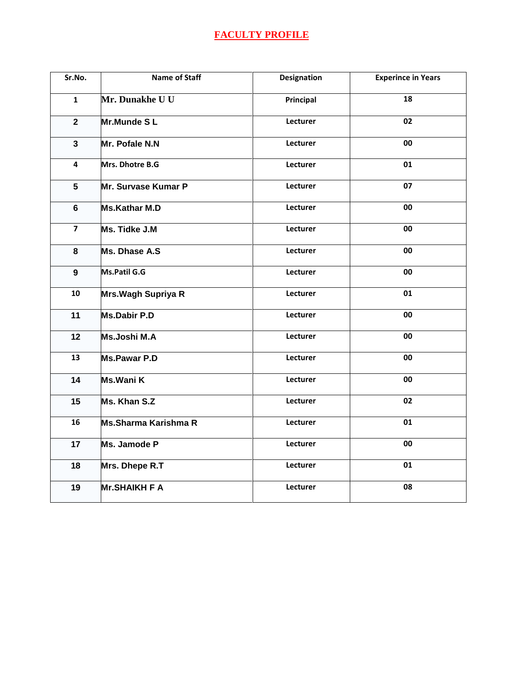# **FACULTY PROFILE**

| Sr.No.                  | <b>Name of Staff</b> | <b>Designation</b> | <b>Experince in Years</b> |
|-------------------------|----------------------|--------------------|---------------------------|
| $\mathbf{1}$            | Mr. Dunakhe U U      | Principal          | 18                        |
| $\mathbf{2}$            | Mr.Munde SL          | Lecturer           | 02                        |
| $\mathbf{3}$            | Mr. Pofale N.N       | Lecturer           | 00                        |
| 4                       | Mrs. Dhotre B.G      | Lecturer           | 01                        |
| 5                       | Mr. Survase Kumar P  | Lecturer           | 07                        |
| $6\phantom{1}$          | <b>Ms.Kathar M.D</b> | Lecturer           | 00                        |
| $\overline{\mathbf{z}}$ | Ms. Tidke J.M        | Lecturer           | 00                        |
| 8                       | Ms. Dhase A.S        | Lecturer           | 00                        |
| 9                       | Ms.Patil G.G         | Lecturer           | 00                        |
| 10                      | Mrs. Wagh Supriya R  | Lecturer           | 01                        |
| 11                      | <b>Ms.Dabir P.D</b>  | Lecturer           | 00                        |
| 12                      | <b>Ms.Joshi M.A</b>  | Lecturer           | 00                        |
| 13                      | <b>Ms.Pawar P.D</b>  | Lecturer           | 00                        |
| 14                      | Ms.Wani K            | Lecturer           | 00                        |
| 15                      | Ms. Khan S.Z         | Lecturer           | 02                        |
| 16                      | Ms.Sharma Karishma R | Lecturer           | 01                        |
| 17                      | Ms. Jamode P         | Lecturer           | 00                        |
| 18                      | Mrs. Dhepe R.T       | Lecturer           | 01                        |
| 19                      | <b>Mr.SHAIKH F A</b> | Lecturer           | 08                        |